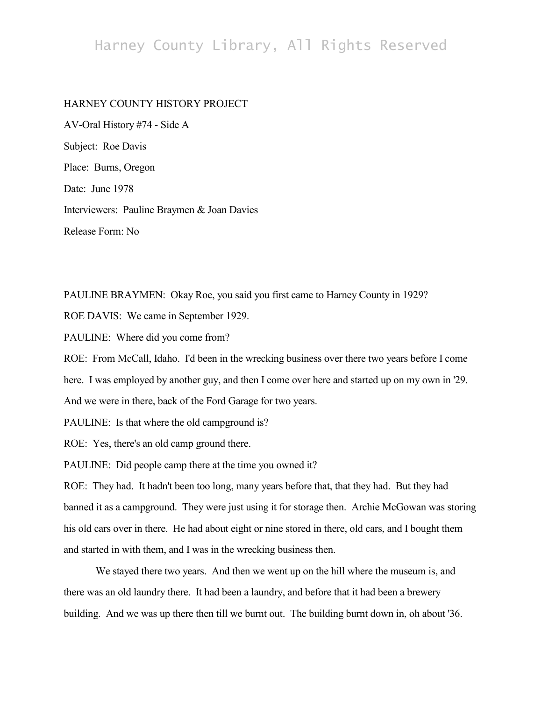## Harney County Library, All Rights Reserved

## HARNEY COUNTY HISTORY PROJECT

AV-Oral History #74 - Side A Subject: Roe Davis Place: Burns, Oregon Date: June 1978 Interviewers: Pauline Braymen & Joan Davies Release Form: No

PAULINE BRAYMEN: Okay Roe, you said you first came to Harney County in 1929?

ROE DAVIS: We came in September 1929.

PAULINE: Where did you come from?

ROE: From McCall, Idaho. I'd been in the wrecking business over there two years before I come

here. I was employed by another guy, and then I come over here and started up on my own in '29.

And we were in there, back of the Ford Garage for two years.

PAULINE: Is that where the old campground is?

ROE: Yes, there's an old camp ground there.

PAULINE: Did people camp there at the time you owned it?

ROE: They had. It hadn't been too long, many years before that, that they had. But they had banned it as a campground. They were just using it for storage then. Archie McGowan was storing his old cars over in there. He had about eight or nine stored in there, old cars, and I bought them and started in with them, and I was in the wrecking business then.

We stayed there two years. And then we went up on the hill where the museum is, and there was an old laundry there. It had been a laundry, and before that it had been a brewery building. And we was up there then till we burnt out. The building burnt down in, oh about '36.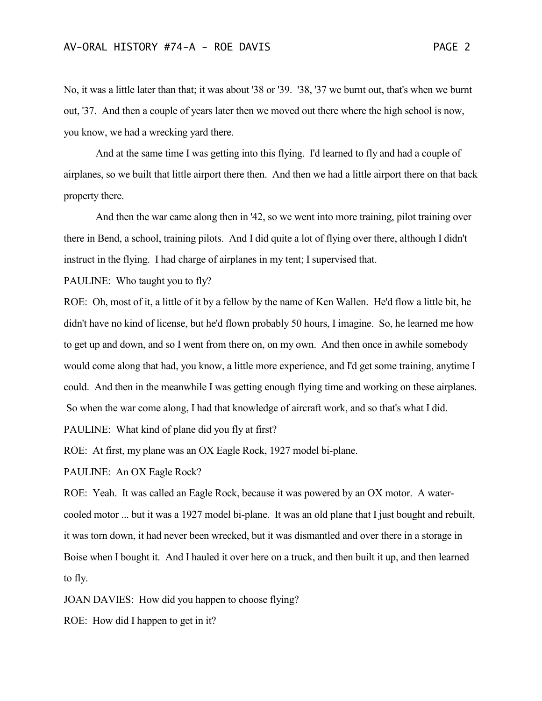No, it was a little later than that; it was about '38 or '39. '38, '37 we burnt out, that's when we burnt out, '37. And then a couple of years later then we moved out there where the high school is now, you know, we had a wrecking yard there.

And at the same time I was getting into this flying. I'd learned to fly and had a couple of airplanes, so we built that little airport there then. And then we had a little airport there on that back property there.

And then the war came along then in '42, so we went into more training, pilot training over there in Bend, a school, training pilots. And I did quite a lot of flying over there, although I didn't instruct in the flying. I had charge of airplanes in my tent; I supervised that.

PAULINE: Who taught you to fly?

ROE: Oh, most of it, a little of it by a fellow by the name of Ken Wallen. He'd flow a little bit, he didn't have no kind of license, but he'd flown probably 50 hours, I imagine. So, he learned me how to get up and down, and so I went from there on, on my own. And then once in awhile somebody would come along that had, you know, a little more experience, and I'd get some training, anytime I could. And then in the meanwhile I was getting enough flying time and working on these airplanes. So when the war come along, I had that knowledge of aircraft work, and so that's what I did.

PAULINE: What kind of plane did you fly at first?

ROE: At first, my plane was an OX Eagle Rock, 1927 model bi-plane.

PAULINE: An OX Eagle Rock?

ROE: Yeah. It was called an Eagle Rock, because it was powered by an OX motor. A watercooled motor ... but it was a 1927 model bi-plane. It was an old plane that I just bought and rebuilt, it was torn down, it had never been wrecked, but it was dismantled and over there in a storage in Boise when I bought it. And I hauled it over here on a truck, and then built it up, and then learned to fly.

JOAN DAVIES: How did you happen to choose flying?

ROE: How did I happen to get in it?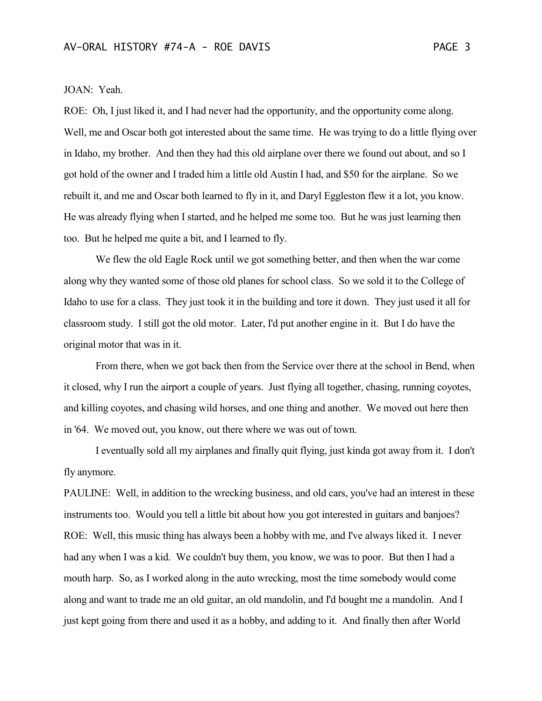## JOAN: Yeah.

ROE: Oh, I just liked it, and I had never had the opportunity, and the opportunity come along. Well, me and Oscar both got interested about the same time. He was trying to do a little flying over in Idaho, my brother. And then they had this old airplane over there we found out about, and so I got hold of the owner and I traded him a little old Austin I had, and \$50 for the airplane. So we rebuilt it, and me and Oscar both learned to fly in it, and Daryl Eggleston flew it a lot, you know. He was already flying when I started, and he helped me some too. But he was just learning then too. But he helped me quite a bit, and I learned to fly.

We flew the old Eagle Rock until we got something better, and then when the war come along why they wanted some of those old planes for school class. So we sold it to the College of Idaho to use for a class. They just took it in the building and tore it down. They just used it all for classroom study. I still got the old motor. Later, I'd put another engine in it. But I do have the original motor that was in it.

From there, when we got back then from the Service over there at the school in Bend, when it closed, why I run the airport a couple of years. Just flying all together, chasing, running coyotes, and killing coyotes, and chasing wild horses, and one thing and another. We moved out here then in '64. We moved out, you know, out there where we was out of town.

I eventually sold all my airplanes and finally quit flying, just kinda got away from it. I don't fly anymore.

PAULINE: Well, in addition to the wrecking business, and old cars, you've had an interest in these instruments too. Would you tell a little bit about how you got interested in guitars and banjoes? ROE: Well, this music thing has always been a hobby with me, and I've always liked it. I never had any when I was a kid. We couldn't buy them, you know, we was to poor. But then I had a mouth harp. So, as I worked along in the auto wrecking, most the time somebody would come along and want to trade me an old guitar, an old mandolin, and I'd bought me a mandolin. And I just kept going from there and used it as a hobby, and adding to it. And finally then after World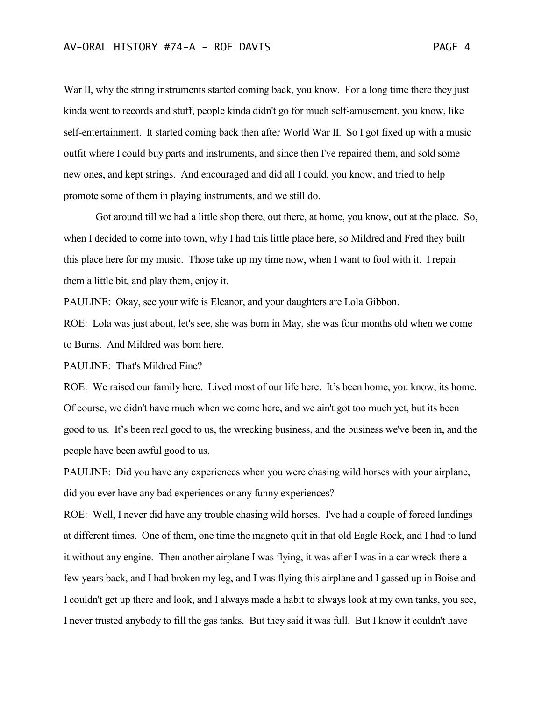War II, why the string instruments started coming back, you know. For a long time there they just kinda went to records and stuff, people kinda didn't go for much self-amusement, you know, like self-entertainment. It started coming back then after World War II. So I got fixed up with a music outfit where I could buy parts and instruments, and since then I've repaired them, and sold some new ones, and kept strings. And encouraged and did all I could, you know, and tried to help promote some of them in playing instruments, and we still do.

Got around till we had a little shop there, out there, at home, you know, out at the place. So, when I decided to come into town, why I had this little place here, so Mildred and Fred they built this place here for my music. Those take up my time now, when I want to fool with it. I repair them a little bit, and play them, enjoy it.

PAULINE: Okay, see your wife is Eleanor, and your daughters are Lola Gibbon.

ROE: Lola was just about, let's see, she was born in May, she was four months old when we come to Burns. And Mildred was born here.

PAULINE: That's Mildred Fine?

ROE: We raised our family here. Lived most of our life here. It's been home, you know, its home. Of course, we didn't have much when we come here, and we ain't got too much yet, but its been good to us. It's been real good to us, the wrecking business, and the business we've been in, and the people have been awful good to us.

PAULINE: Did you have any experiences when you were chasing wild horses with your airplane, did you ever have any bad experiences or any funny experiences?

ROE: Well, I never did have any trouble chasing wild horses. I've had a couple of forced landings at different times. One of them, one time the magneto quit in that old Eagle Rock, and I had to land it without any engine. Then another airplane I was flying, it was after I was in a car wreck there a few years back, and I had broken my leg, and I was flying this airplane and I gassed up in Boise and I couldn't get up there and look, and I always made a habit to always look at my own tanks, you see, I never trusted anybody to fill the gas tanks. But they said it was full. But I know it couldn't have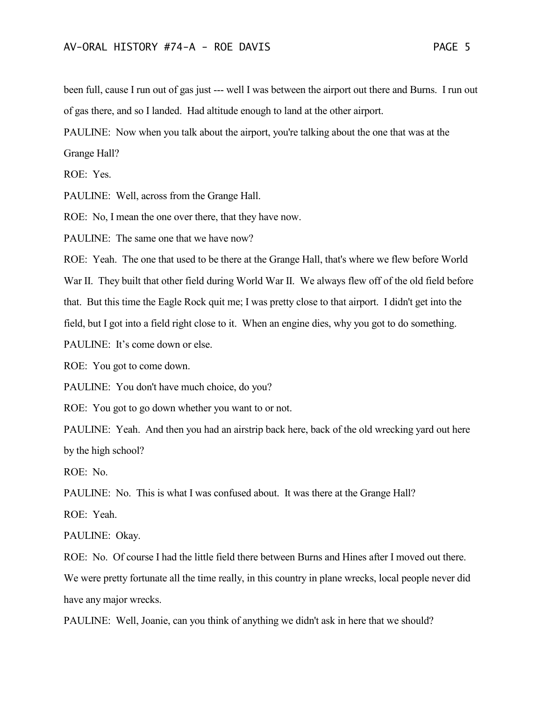been full, cause I run out of gas just --- well I was between the airport out there and Burns. I run out of gas there, and so I landed. Had altitude enough to land at the other airport.

PAULINE: Now when you talk about the airport, you're talking about the one that was at the Grange Hall?

ROE: Yes.

PAULINE: Well, across from the Grange Hall.

ROE: No, I mean the one over there, that they have now.

PAULINE: The same one that we have now?

ROE: Yeah. The one that used to be there at the Grange Hall, that's where we flew before World

War II. They built that other field during World War II. We always flew off of the old field before

that. But this time the Eagle Rock quit me; I was pretty close to that airport. I didn't get into the

field, but I got into a field right close to it. When an engine dies, why you got to do something.

PAULINE: It's come down or else.

ROE: You got to come down.

PAULINE: You don't have much choice, do you?

ROE: You got to go down whether you want to or not.

PAULINE: Yeah. And then you had an airstrip back here, back of the old wrecking yard out here by the high school?

ROE: No.

PAULINE: No. This is what I was confused about. It was there at the Grange Hall?

ROE: Yeah.

PAULINE: Okay.

ROE: No. Of course I had the little field there between Burns and Hines after I moved out there.

We were pretty fortunate all the time really, in this country in plane wrecks, local people never did have any major wrecks.

PAULINE: Well, Joanie, can you think of anything we didn't ask in here that we should?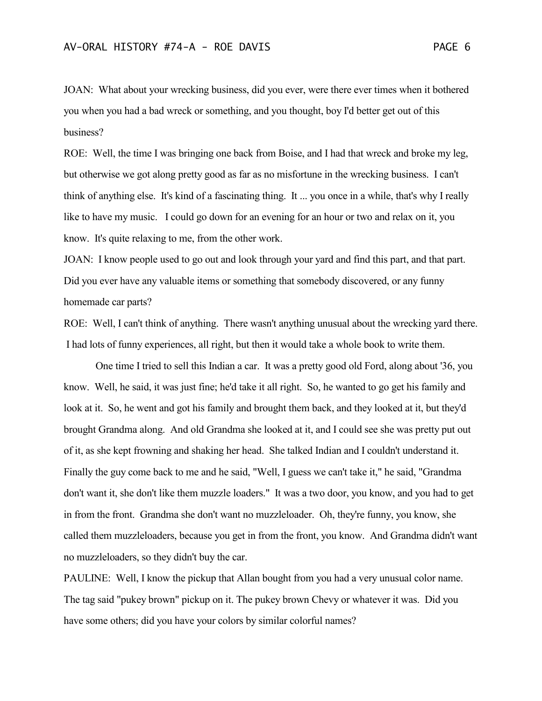JOAN: What about your wrecking business, did you ever, were there ever times when it bothered you when you had a bad wreck or something, and you thought, boy I'd better get out of this business?

ROE: Well, the time I was bringing one back from Boise, and I had that wreck and broke my leg, but otherwise we got along pretty good as far as no misfortune in the wrecking business. I can't think of anything else. It's kind of a fascinating thing. It ... you once in a while, that's why I really like to have my music. I could go down for an evening for an hour or two and relax on it, you know. It's quite relaxing to me, from the other work.

JOAN: I know people used to go out and look through your yard and find this part, and that part. Did you ever have any valuable items or something that somebody discovered, or any funny homemade car parts?

ROE: Well, I can't think of anything. There wasn't anything unusual about the wrecking yard there. I had lots of funny experiences, all right, but then it would take a whole book to write them.

One time I tried to sell this Indian a car. It was a pretty good old Ford, along about '36, you know. Well, he said, it was just fine; he'd take it all right. So, he wanted to go get his family and look at it. So, he went and got his family and brought them back, and they looked at it, but they'd brought Grandma along. And old Grandma she looked at it, and I could see she was pretty put out of it, as she kept frowning and shaking her head. She talked Indian and I couldn't understand it. Finally the guy come back to me and he said, "Well, I guess we can't take it," he said, "Grandma don't want it, she don't like them muzzle loaders." It was a two door, you know, and you had to get in from the front. Grandma she don't want no muzzleloader. Oh, they're funny, you know, she called them muzzleloaders, because you get in from the front, you know. And Grandma didn't want no muzzleloaders, so they didn't buy the car.

PAULINE: Well, I know the pickup that Allan bought from you had a very unusual color name. The tag said "pukey brown" pickup on it. The pukey brown Chevy or whatever it was. Did you have some others; did you have your colors by similar colorful names?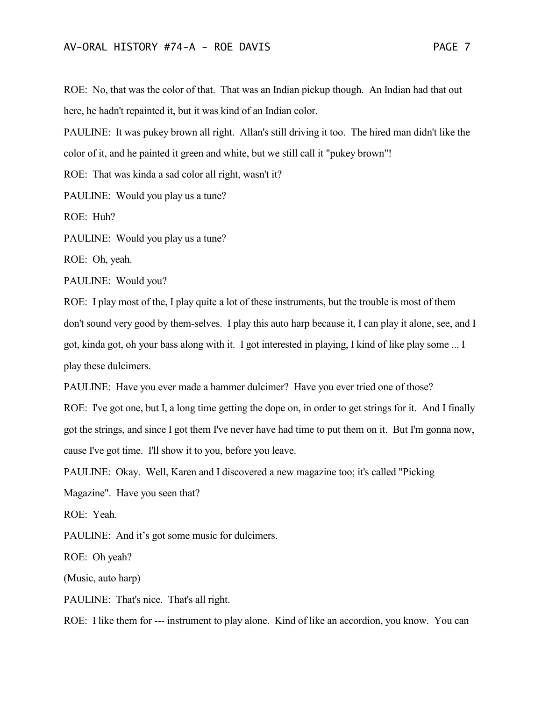ROE: No, that was the color of that. That was an Indian pickup though. An Indian had that out here, he hadn't repainted it, but it was kind of an Indian color.

PAULINE: It was pukey brown all right. Allan's still driving it too. The hired man didn't like the color of it, and he painted it green and white, but we still call it "pukey brown"!

ROE: That was kinda a sad color all right, wasn't it?

PAULINE: Would you play us a tune?

ROE: Huh?

PAULINE: Would you play us a tune?

ROE: Oh, yeah.

PAULINE: Would you?

ROE: I play most of the, I play quite a lot of these instruments, but the trouble is most of them don't sound very good by them-selves. I play this auto harp because it, I can play it alone, see, and I got, kinda got, oh your bass along with it. I got interested in playing, I kind of like play some ... I play these dulcimers.

PAULINE: Have you ever made a hammer dulcimer? Have you ever tried one of those? ROE: I've got one, but I, a long time getting the dope on, in order to get strings for it. And I finally got the strings, and since I got them I've never have had time to put them on it. But I'm gonna now, cause I've got time. I'll show it to you, before you leave.

PAULINE: Okay. Well, Karen and I discovered a new magazine too; it's called "Picking

Magazine". Have you seen that?

ROE: Yeah.

PAULINE: And it's got some music for dulcimers.

ROE: Oh yeah?

(Music, auto harp)

PAULINE: That's nice. That's all right.

ROE: I like them for --- instrument to play alone. Kind of like an accordion, you know. You can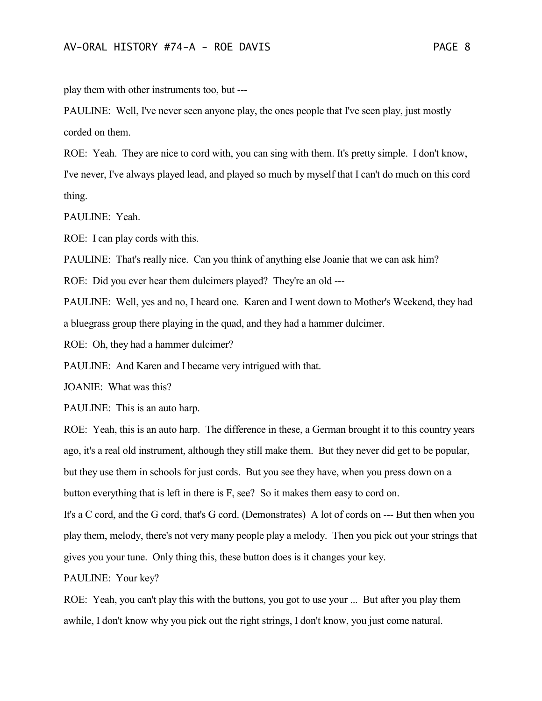play them with other instruments too, but ---

PAULINE: Well, I've never seen anyone play, the ones people that I've seen play, just mostly corded on them.

ROE: Yeah. They are nice to cord with, you can sing with them. It's pretty simple. I don't know, I've never, I've always played lead, and played so much by myself that I can't do much on this cord thing.

PAULINE: Yeah.

ROE: I can play cords with this.

PAULINE: That's really nice. Can you think of anything else Joanie that we can ask him?

ROE: Did you ever hear them dulcimers played? They're an old ---

PAULINE: Well, yes and no, I heard one. Karen and I went down to Mother's Weekend, they had a bluegrass group there playing in the quad, and they had a hammer dulcimer.

ROE: Oh, they had a hammer dulcimer?

PAULINE: And Karen and I became very intrigued with that.

JOANIE: What was this?

PAULINE: This is an auto harp.

ROE: Yeah, this is an auto harp. The difference in these, a German brought it to this country years ago, it's a real old instrument, although they still make them. But they never did get to be popular, but they use them in schools for just cords. But you see they have, when you press down on a button everything that is left in there is F, see? So it makes them easy to cord on.

It's a C cord, and the G cord, that's G cord. (Demonstrates) A lot of cords on --- But then when you play them, melody, there's not very many people play a melody. Then you pick out your strings that gives you your tune. Only thing this, these button does is it changes your key.

PAULINE: Your key?

ROE: Yeah, you can't play this with the buttons, you got to use your ... But after you play them awhile, I don't know why you pick out the right strings, I don't know, you just come natural.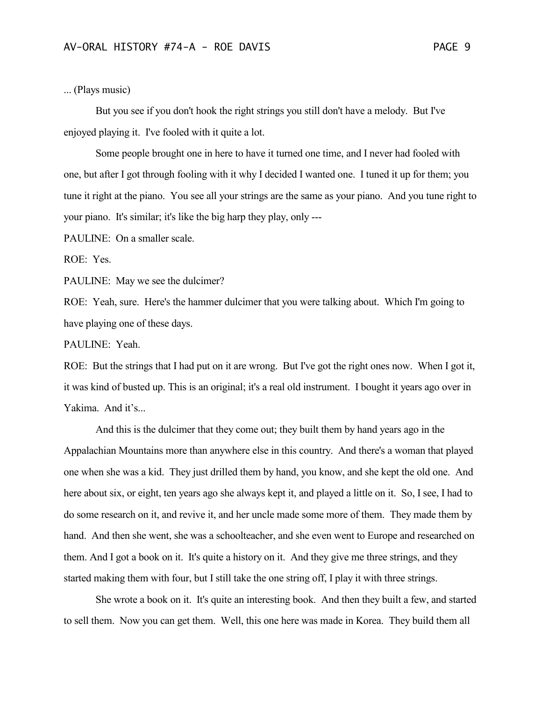## ... (Plays music)

But you see if you don't hook the right strings you still don't have a melody. But I've enjoyed playing it. I've fooled with it quite a lot.

Some people brought one in here to have it turned one time, and I never had fooled with one, but after I got through fooling with it why I decided I wanted one. I tuned it up for them; you tune it right at the piano. You see all your strings are the same as your piano. And you tune right to your piano. It's similar; it's like the big harp they play, only ---

PAULINE: On a smaller scale.

ROE: Yes.

PAULINE: May we see the dulcimer?

ROE: Yeah, sure. Here's the hammer dulcimer that you were talking about. Which I'm going to have playing one of these days.

PAULINE: Yeah.

ROE: But the strings that I had put on it are wrong. But I've got the right ones now. When I got it, it was kind of busted up. This is an original; it's a real old instrument. I bought it years ago over in Yakima. And it's...

And this is the dulcimer that they come out; they built them by hand years ago in the Appalachian Mountains more than anywhere else in this country. And there's a woman that played one when she was a kid. They just drilled them by hand, you know, and she kept the old one. And here about six, or eight, ten years ago she always kept it, and played a little on it. So, I see, I had to do some research on it, and revive it, and her uncle made some more of them. They made them by hand. And then she went, she was a schoolteacher, and she even went to Europe and researched on them. And I got a book on it. It's quite a history on it. And they give me three strings, and they started making them with four, but I still take the one string off, I play it with three strings.

She wrote a book on it. It's quite an interesting book. And then they built a few, and started to sell them. Now you can get them. Well, this one here was made in Korea. They build them all